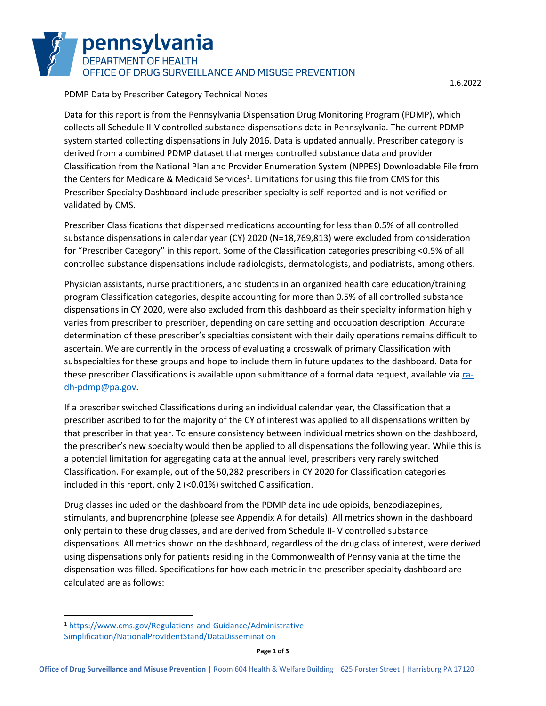pennsylvania **DEPARTMENT OF HEALTH** OFFICE OF DRUG SURVEILLANCE AND MISUSE PREVENTION

## PDMP Data by Prescriber Category Technical Notes

Data for this report is from the Pennsylvania Dispensation Drug Monitoring Program (PDMP), which collects all Schedule II-V controlled substance dispensations data in Pennsylvania. The current PDMP system started collecting dispensations in July 2016. Data is updated annually. Prescriber category is derived from a combined PDMP dataset that merges controlled substance data and provider Classification from the National Plan and Provider Enumeration System (NPPES) Downloadable File from the Centers for Medicare & Medicaid Services<sup>1</sup>. Limitations for using this file from CMS for this Prescriber Specialty Dashboard include prescriber specialty is self-reported and is not verified or validated by CMS.

Prescriber Classifications that dispensed medications accounting for less than 0.5% of all controlled substance dispensations in calendar year (CY) 2020 (N=18,769,813) were excluded from consideration for "Prescriber Category" in this report. Some of the Classification categories prescribing <0.5% of all controlled substance dispensations include radiologists, dermatologists, and podiatrists, among others.

Physician assistants, nurse practitioners, and students in an organized health care education/training program Classification categories, despite accounting for more than 0.5% of all controlled substance dispensations in CY 2020, were also excluded from this dashboard as their specialty information highly varies from prescriber to prescriber, depending on care setting and occupation description. Accurate determination of these prescriber's specialties consistent with their daily operations remains difficult to ascertain. We are currently in the process of evaluating a crosswalk of primary Classification with subspecialties for these groups and hope to include them in future updates to the dashboard. Data for these prescriber Classifications is available upon submittance of a formal data request, available vi[a ra](mailto:ra-dh-pdmp@pa.gov)[dh-pdmp@pa.gov.](mailto:ra-dh-pdmp@pa.gov)

If a prescriber switched Classifications during an individual calendar year, the Classification that a prescriber ascribed to for the majority of the CY of interest was applied to all dispensations written by that prescriber in that year. To ensure consistency between individual metrics shown on the dashboard, the prescriber's new specialty would then be applied to all dispensations the following year. While this is a potential limitation for aggregating data at the annual level, prescribers very rarely switched Classification. For example, out of the 50,282 prescribers in CY 2020 for Classification categories included in this report, only 2 (<0.01%) switched Classification.

Drug classes included on the dashboard from the PDMP data include opioids, benzodiazepines, stimulants, and buprenorphine (please see Appendix A for details). All metrics shown in the dashboard only pertain to these drug classes, and are derived from Schedule II- V controlled substance dispensations. All metrics shown on the dashboard, regardless of the drug class of interest, were derived using dispensations only for patients residing in the Commonwealth of Pennsylvania at the time the dispensation was filled. Specifications for how each metric in the prescriber specialty dashboard are calculated are as follows:

<sup>1</sup> [https://www.cms.gov/Regulations-and-Guidance/Administrative-](https://www.cms.gov/Regulations-and-Guidance/Administrative-Simplification/NationalProvIdentStand/DataDissemination)

[Simplification/NationalProvIdentStand/DataDissemination](https://www.cms.gov/Regulations-and-Guidance/Administrative-Simplification/NationalProvIdentStand/DataDissemination)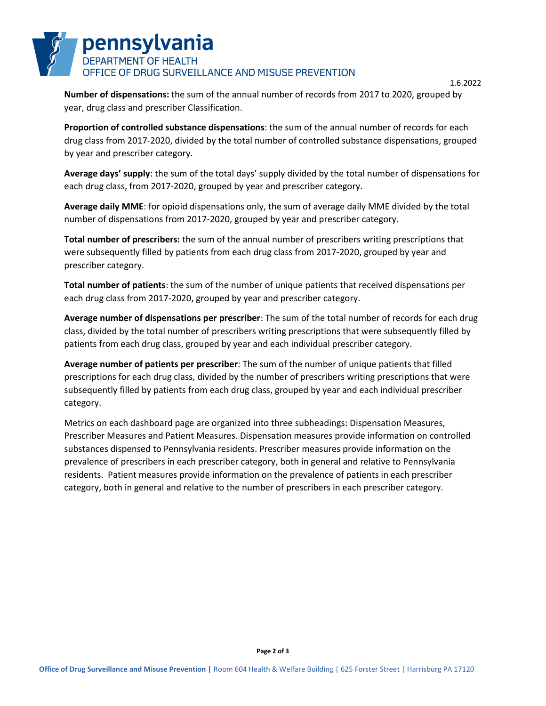

1.6.2022

**Number of dispensations:** the sum of the annual number of records from 2017 to 2020, grouped by year, drug class and prescriber Classification.

**Proportion of controlled substance dispensations**: the sum of the annual number of records for each drug class from 2017-2020, divided by the total number of controlled substance dispensations, grouped by year and prescriber category.

**Average days' supply**: the sum of the total days' supply divided by the total number of dispensations for each drug class, from 2017-2020, grouped by year and prescriber category.

**Average daily MME**: for opioid dispensations only, the sum of average daily MME divided by the total number of dispensations from 2017-2020, grouped by year and prescriber category.

**Total number of prescribers:** the sum of the annual number of prescribers writing prescriptions that were subsequently filled by patients from each drug class from 2017-2020, grouped by year and prescriber category.

**Total number of patients**: the sum of the number of unique patients that received dispensations per each drug class from 2017-2020, grouped by year and prescriber category.

**Average number of dispensations per prescriber**: The sum of the total number of records for each drug class, divided by the total number of prescribers writing prescriptions that were subsequently filled by patients from each drug class, grouped by year and each individual prescriber category.

**Average number of patients per prescriber**: The sum of the number of unique patients that filled prescriptions for each drug class, divided by the number of prescribers writing prescriptions that were subsequently filled by patients from each drug class, grouped by year and each individual prescriber category.

Metrics on each dashboard page are organized into three subheadings: Dispensation Measures, Prescriber Measures and Patient Measures. Dispensation measures provide information on controlled substances dispensed to Pennsylvania residents. Prescriber measures provide information on the prevalence of prescribers in each prescriber category, both in general and relative to Pennsylvania residents. Patient measures provide information on the prevalence of patients in each prescriber category, both in general and relative to the number of prescribers in each prescriber category.